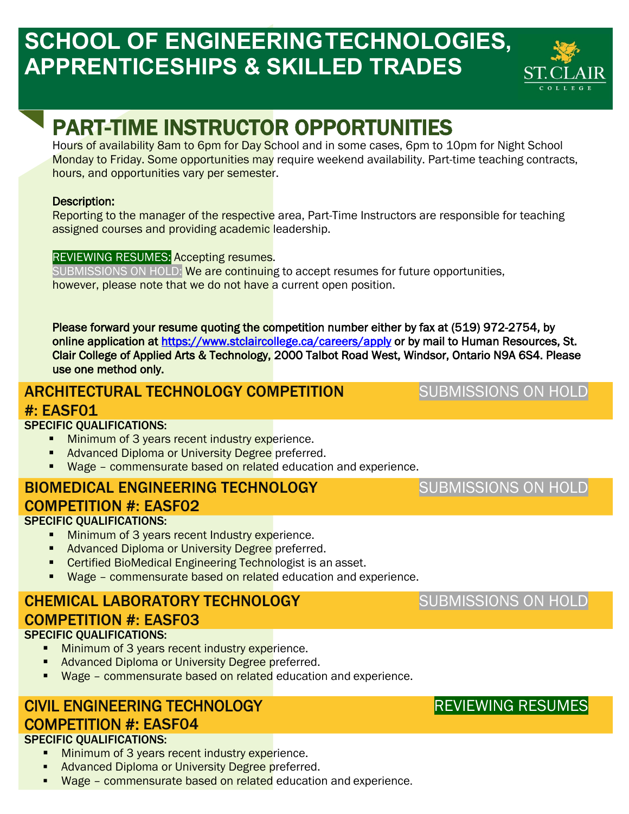# **SCHOOL OF ENGINEERINGTECHNOLOGIES, APPRENTICESHIPS & SKILLED TRADES**



# PART-TIME INSTRUCTOR OPPORTUNITIES

Hours of availability 8am to 6pm for Day School and in some cases, 6pm to 10pm for Night School Monday to Friday. Some opportunities may require weekend availability. Part-time teaching contracts, hours, and opportunities vary per semester.

#### Description:

Reporting to the manager of the respective area, Part-Time Instructors are responsible for teaching assigned courses and providing academic leadership.

#### REVIEWING RESUMES: Accepting resumes.

SUBMISSIONS ON HOLD: We are continuing to accept resumes for future opportunities, however, please note that we do not have a current open position.

Please forward your resume quoting the competition number either by fax at (519) 972-2754, by online application at<https://www.stclaircollege.ca/careers/apply>or by mail to Human Resources, St. Clair College of Applied Arts & Technology, 2000 Talbot Road West, Windsor, Ontario N9A 6S4. Please use one method only.

# ARCHITECTURAL TECHNOLOGY COMPETITION

SUBMISSIONS ON HOLD

SUBMISSIONS ON HOLD

### #: EASF01

#### SPECIFIC QUALIFICATIONS:

- **Minimum of 3 years recent industry experience.**
- Advanced Diploma or University Degree preferred.
- Wage commensurate based on related education and experience.

### BIOMEDICAL ENGINEERING TECHNOLOGY COMPETITION #: EASF02

#### SPECIFIC QUALIFICATIONS:

- **Minimum of 3 years recent Industry experience.**
- Advanced Diploma or University Degree preferred.
- **Certified BioMedical Engineering Technologist is an asset.**
- Wage commensurate based on related education and experience.

## CHEMICAL LABORATORY TECHNOLOGY COMPETITION #: EASF03

#### SPECIFIC QUALIFICATIONS:

- **Minimum of 3 years recent industry experience.**
- Advanced Diploma or University Degree preferred.
- **Wage commensurate based on related** education and experience.

#### CIVIL ENGINEERING TECHNOLOGY COMPETITION #: EASF04

#### SPECIFIC QUALIFICATIONS:

- Minimum of 3 years recent industry experience.
- Advanced Diploma or University Degree preferred.
- Wage commensurate based on related education and experience.

## SUBMISSIONS ON HOLD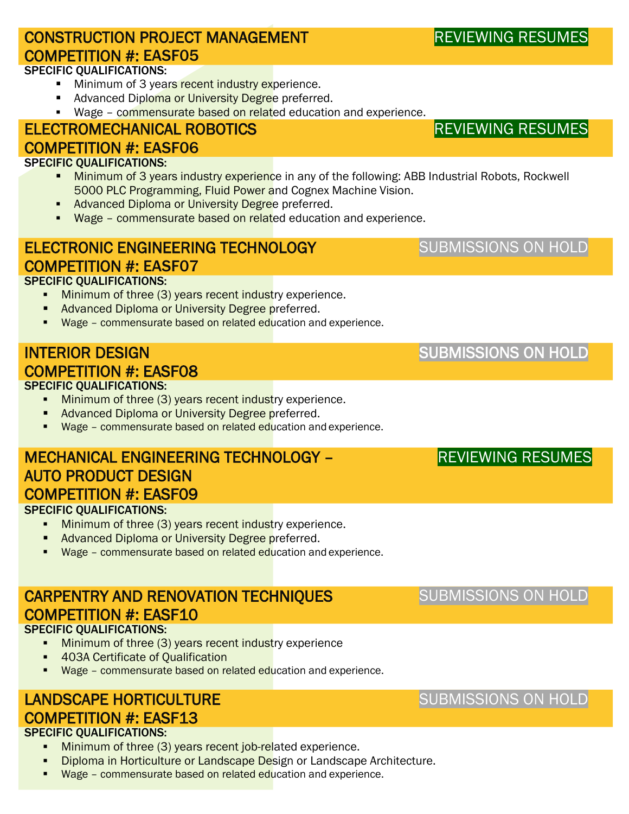# CONSTRUCTION PROJECT MANAGEMENT COMPETITION #: EASF05

#### SPECIFIC QUALIFICATIONS:

- Minimum of 3 years recent industry experience.
- Advanced Diploma or University Degree preferred.
- **Wage commensurate based on related education and experience.**

#### ELECTROMECHANICAL ROBOTICS COMPETITION #: EASF06

#### SPECIFIC QUALIFICATIONS:

- Minimum of 3 years industry experience in any of the following: ABB Industrial Robots, Rockwell 5000 PLC Programming, Fluid Power and Cognex Machine Vision.
- Advanced Diploma or University Degree preferred.
- Wage commensurate based on related education and experience.

### ELECTRONIC ENGINEERING TECHNOLOGY COMPETITION #: EASF07

#### SPECIFIC QUALIFICATIONS:

- **Minimum of three (3) years recent industry experience.**
- Advanced Diploma or University Degree preferred.
- Wage commensurate based on related education and experience.

#### SPECIFIC QUALIFICATIONS: INTERIOR DESIGN COMPETITION #: EASF08

- **Minimum of three (3) years recent industry experience.**
- Advanced Diploma or University Degree preferred.
- Wage commensurate based on related education and experience.

## MECHANICAL ENGINEERING TECHNOLOGY – AUTO PRODUCT DESIGN COMPETITION #: EASF09

#### SPECIFIC QUALIFICATIONS:

- **Minimum of three (3) years recent industry experience.**
- **Advanced Diploma or University Degree preferred.**
- Wage commensurate based on related education and experience.

# CARPENTRY AND RENOVATION TECHNIQUES COMPETITION #: EASF10

#### SPECIFIC QUALIFICATIONS:

- **Minimum of three (3) years recent industry experience**
- **403A Certificate of Qualification**
- Wage commensurate based on related education and experience.

# LANDSCAPE HORTICULTURE COMPETITION #: EASF13

#### SPECIFIC QUALIFICATIONS:

- Minimum of three (3) years recent job-related experience.
- Diploma in Horticulture or Landscape Design or Landscape Architecture.
- Wage commensurate based on related education and experience.

REVIEWING RESUMES

## SUBMISSIONS ON HOLD

SUBMISSIONS ON HOLD

## REVIEWING RESUMES

# SUBMISSIONS ON HOLD

# SUBMISSIONS ON HOLD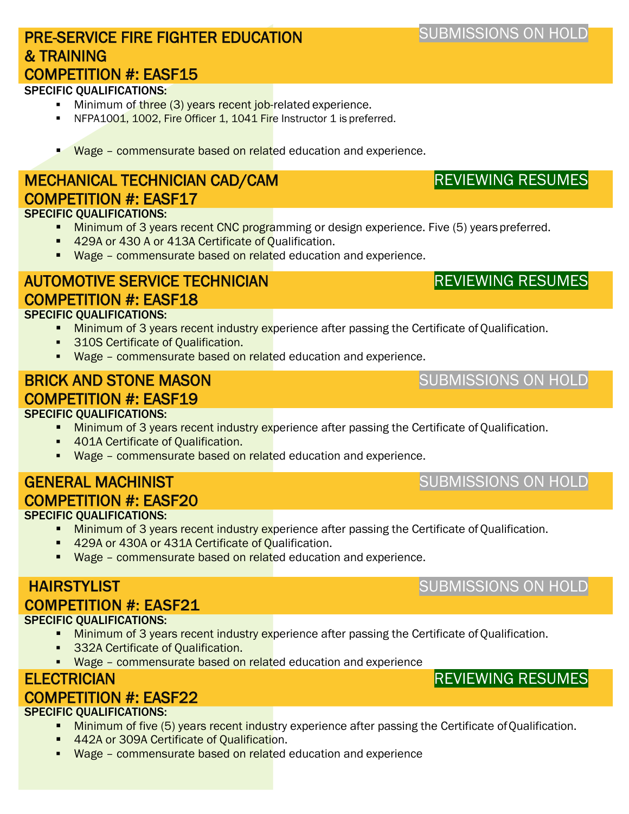#### PRE-SERVICE FIRE FIGHTER EDUCATION & TRAINING COMPETITION #: EASF15

#### SPECIFIC QUALIFICATIONS:

- Minimum of three (3) years recent job-related experience.
- NFPA1001, 1002, Fire Officer 1, 1041 Fire Instructor 1 is preferred.
- Wage commensurate based on related education and experience.

#### SPECIFIC QUALIFICATIONS: MECHANICAL TECHNICIAN CAD/CAM COMPETITION #: EASF17

- Minimum of 3 years recent CNC programming or design experience. Five (5) years preferred.
- 429A or 430 A or 413A Certificate of Qualification.
- Wage commensurate based on related education and experience.

# AUTOMOTIVE SERVICE TECHNICIAN COMPETITION #: EASF18

#### SPECIFIC QUALIFICATIONS:

- Minimum of 3 years recent industry experience after passing the Certificate of Qualification.
- 310S Certificate of Qualification.
- Wage commensurate based on related education and experience.

## BRICK AND STONE MASON COMPETITION #: EASF19

#### SPECIFIC QUALIFICATIONS:

- Minimum of 3 years recent industry experience after passing the Certificate of Qualification.
- **401A Certificate of Qualification.**
- Wage commensurate based on related education and experience.

# GENERAL MACHINIST COMPETITION #: EASF20

#### SPECIFIC QUALIFICATIONS:

- **Minimum of 3 years recent industry experience after passing the Certificate of Qualification.**
- 429A or 430A or 431A Certificate of Qualification.
- Wage commensurate based on related education and experience.

#### SPECIFIC QUALIFICATIONS: HAIRSTYLIST COMPETITION #: EASF21

- Minimum of 3 years recent industry experience after passing the Certificate of Qualification.
	- **332A Certificate of Qualification.**
	- **Wage commensurate based on related education and experience**

#### **ELECTRICIAN**

### COMPETITION #: EASF22

#### SPECIFIC QUALIFICATIONS:

- Minimum of five (5) years recent industry experience after passing the Certificate of Qualification.
- 442A or 309A Certificate of Qualification.
- **Wage commensurate based on related education and experience**

# REVIEWING RESUMES

## SUBMISSIONS ON HOLD

# SUBMISSIONS ON HOLD

# SUBMISSIONS ON HOLD

# REVIEWING RESUMES

# SUBMISSIONS ON HOLD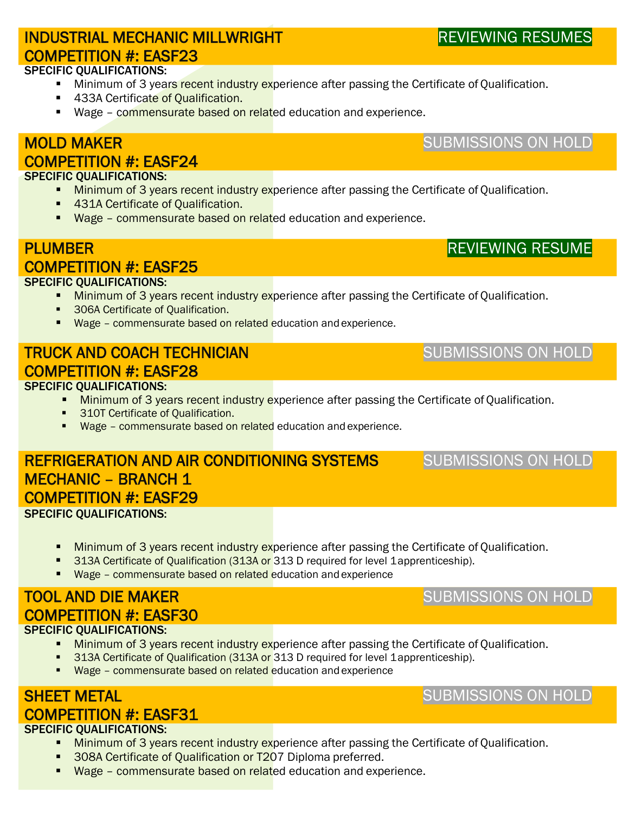# INDUSTRIAL MECHANIC MILLWRIGHT COMPETITION #: EASF23

#### SPECIFIC QUALIFICATIONS:

- Minimum of 3 years recent industry experience after passing the Certificate of Qualification.
- 433A Certificate of Qualification.
- Wage commensurate based on related education and experience.

### MOLD MAKER

#### COMPETITION #: EASF24

#### SPECIFIC QUALIFICATIONS:

- **Minimum of 3 years recent industry experience after passing the Certificate of Qualification.**
- 431A Certificate of Qualification.
- Wage commensurate based on related education and experience.

#### PLUMBER COMPETITION #: EASF25

#### SPECIFIC QUALIFICATIONS:

- Minimum of 3 years recent industry experience after passing the Certificate of Qualification.
- 306A Certificate of Qualification.
- Wage commensurate based on related education and experience.

# TRUCK AND COACH TECHNICIAN COMPETITION #: EASF28

#### SPECIFIC QUALIFICATIONS:

- **Minimum of 3 years recent industry experience after passing the Certificate of Qualification.**
- **310T Certificate of Qualification.**
- Wage commensurate based on related education and experience.

#### REFRIGERATION AND AIR CONDITIONING SYSTEMS MECHANIC – BRANCH 1 COMPETITION #: EASF29 SPECIFIC QUALIFICATIONS:

- Minimum of 3 years recent industry experience after passing the Certificate of Qualification.
- 313A Certificate of Qualification (313A or 313 D required for level 1 apprenticeship).
- Wage commensurate based on related education and experience

#### SPECIFIC QUALIFICATIONS: TOOL AND DIE MAKER COMPETITION #: EASF30

- **Minimum of 3 years recent industry experience after passing the Certificate of Qualification.**
- 313A Certificate of Qualification (313A or 313 D required for level 1apprenticeship).
- Wage commensurate based on related education and experience

# SHEET METAL COMPETITION #: EASF31

#### SPECIFIC QUALIFICATIONS:

- Minimum of 3 years recent industry experience after passing the Certificate of Qualification.
- 308A Certificate of Qualification or T207 Diploma preferred.
- Wage commensurate based on related education and experience.

# SUBMISSIONS ON HOLD

### SUBMISSIONS ON HOLD

SUBMISSIONS ON HOLD

# SUBMISSIONS ON HOLD

SUBMISSIONS ON HOLD

REVIEWING RESUME